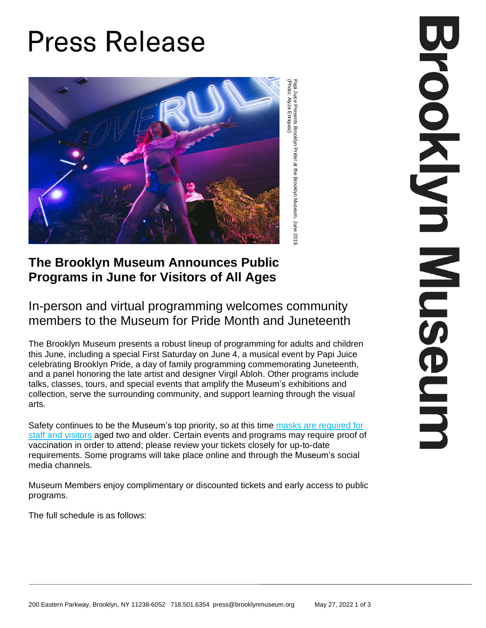# **Press Release**



Papi<br>P Juice Presents Brooklyn Pride! at the Brooklyn Museum, June 2019. (Photo: Alyza Enriquez)

# **The Brooklyn Museum Announces Public Programs in June for Visitors of All Ages**

## In-person and virtual programming welcomes community members to the Museum for Pride Month and Juneteenth

The Brooklyn Museum presents a robust lineup of programming for adults and children this June, including a special First Saturday on June 4, a musical event by Papi Juice celebrating Brooklyn Pride, a day of family programming commemorating Juneteenth, and a panel honoring the late artist and designer Virgil Abloh. Other programs include talks, classes, tours, and special events that amplify the Museum's exhibitions and collection, serve the surrounding community, and support learning through the visual arts.

Safety continues to be the Museum's top priority, so at this time masks are [required](https://www.brooklynmuseum.org/visit/health) for staff and [visitors](https://www.brooklynmuseum.org/visit/health) aged two and older. Certain events and programs may require proof of vaccination in order to attend; please review your tickets closely for up-to-date requirements. Some programs will take place online and through the Museum's social media channels.

Museum Members enjoy complimentary or discounted tickets and early access to public programs.

The full schedule is as follows: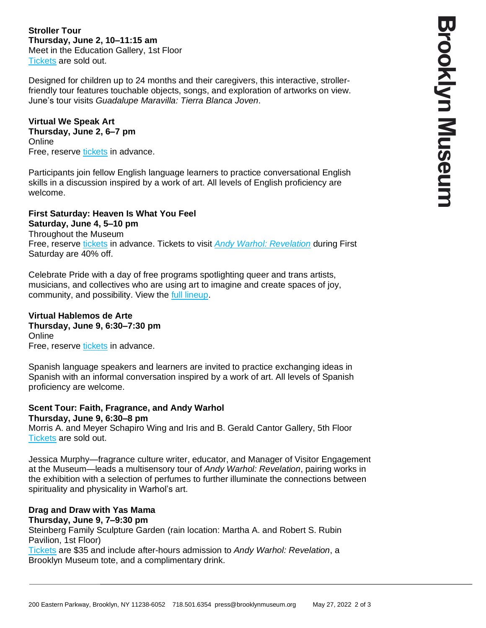**Stroller Tour Thursday, June 2, 10–11:15 am** Meet in the Education Gallery, 1st Floor [Tickets](https://my.brooklynmuseum.org/events/d071752a-a379-61b4-ad85-491cb99e9a60) are sold out.

Designed for children up to 24 months and their caregivers, this interactive, strollerfriendly tour features touchable objects, songs, and exploration of artworks on view. June's tour visits *Guadalupe Maravilla: Tierra Blanca Joven*.

## **Virtual We Speak Art**

## **Thursday, June 2, 6–7 pm**

**Online** Free, reserve [tickets](https://my.brooklynmuseum.org/events/249c887b-5388-3382-0d83-392cccee3a8f) in advance.

Participants join fellow English language learners to practice conversational English skills in a discussion inspired by a work of art. All levels of English proficiency are welcome.

## **First Saturday: Heaven Is What You Feel**

**Saturday, June 4, 5–10 pm** Throughout the Museum Free, reserve [tickets](https://my.brooklynmuseum.org/events/0180b48c-e511-3326-0e93-ac4255e8a5d9) in advance. Tickets to visit *Andy Warhol: [Revelation](https://my.brooklynmuseum.org/events/1910d5dc-c021-f4b2-eb4e-5915f9028306)* during First Saturday are 40% off.

Celebrate Pride with a day of free programs spotlighting queer and trans artists, musicians, and collectives who are using art to imagine and create spaces of joy, community, and possibility. View the full [lineup.](https://www.brooklynmuseum.org/visit/first_saturdays)

#### **Virtual Hablemos de Arte Thursday, June 9, 6:30–7:30 pm Online** Free, reserve [tickets](https://my.brooklynmuseum.org/events/1058795c-3ffe-ed0a-476f-b98332b37b4a) in advance.

Spanish language speakers and learners are invited to practice exchanging ideas in Spanish with an informal conversation inspired by a work of art. All levels of Spanish proficiency are welcome.

#### **Scent Tour: Faith, Fragrance, and Andy Warhol Thursday, June 9, 6:30–8 pm**

Morris A. and Meyer Schapiro Wing and Iris and B. Gerald Cantor Gallery, 5th Floor [Tickets](https://my.brooklynmuseum.org/events/017fb7e8-5b71-5d1b-14a9-c8871aab534a) are sold out.

Jessica Murphy—fragrance culture writer, educator, and Manager of Visitor Engagement at the Museum—leads a multisensory tour of *Andy Warhol: Revelation*, pairing works in the exhibition with a selection of perfumes to further illuminate the connections between spirituality and physicality in Warhol's art.

# **Drag and Draw with Yas Mama**

**Thursday, June 9, 7–9:30 pm** Steinberg Family Sculpture Garden (rain location: Martha A. and Robert S. Rubin Pavilion, 1st Floor) [Tickets](https://my.brooklynmuseum.org/events/a102c60a-a697-3f61-1a26-9a86920c1275) are \$35 and include after-hours admission to *Andy Warhol: Revelation*, a Brooklyn Museum tote, and a complimentary drink.